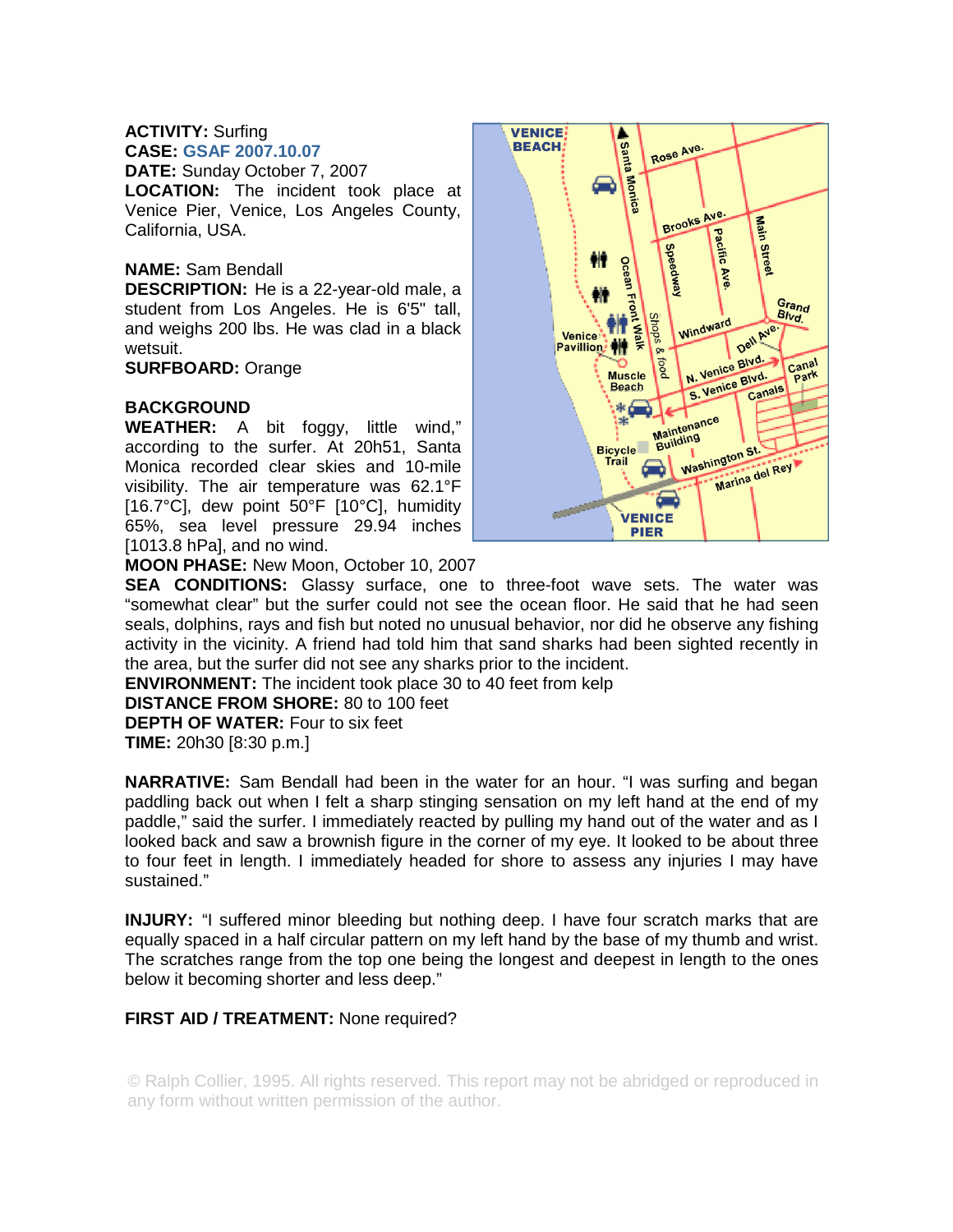#### **ACTIVITY:** Surfing **CASE: GSAF 2007.10.07**

**DATE:** Sunday October 7, 2007

**LOCATION:** The incident took place at Venice Pier, Venice, Los Angeles County, California, USA.

## **NAME:** Sam Bendall

**DESCRIPTION:** He is a 22-year-old male, a student from Los Angeles. He is 6'5" tall, and weighs 200 lbs. He was clad in a black wetsuit.

**SURFBOARD:** Orange

## **BACKGROUND**

**WEATHER:** A bit foggy, little wind," according to the surfer. At 20h51, Santa Monica recorded clear skies and 10-mile visibility. The air temperature was 62.1°F [16.7°C], dew point 50°F [10°C], humidity 65%, sea level pressure 29.94 inches [1013.8 hPa], and no wind.



**MOON PHASE:** New Moon, October 10, 2007

**SEA CONDITIONS:** Glassy surface, one to three-foot wave sets. The water was "somewhat clear" but the surfer could not see the ocean floor. He said that he had seen seals, dolphins, rays and fish but noted no unusual behavior, nor did he observe any fishing activity in the vicinity. A friend had told him that sand sharks had been sighted recently in the area, but the surfer did not see any sharks prior to the incident.

**ENVIRONMENT:** The incident took place 30 to 40 feet from kelp

**DISTANCE FROM SHORE:** 80 to 100 feet

**DEPTH OF WATER:** Four to six feet

**TIME:** 20h30 [8:30 p.m.]

**NARRATIVE:** Sam Bendall had been in the water for an hour. "I was surfing and began paddling back out when I felt a sharp stinging sensation on my left hand at the end of my paddle," said the surfer. I immediately reacted by pulling my hand out of the water and as I looked back and saw a brownish figure in the corner of my eye. It looked to be about three to four feet in length. I immediately headed for shore to assess any injuries I may have sustained."

**INJURY:** "I suffered minor bleeding but nothing deep. I have four scratch marks that are equally spaced in a half circular pattern on my left hand by the base of my thumb and wrist. The scratches range from the top one being the longest and deepest in length to the ones below it becoming shorter and less deep."

# **FIRST AID / TREATMENT:** None required?

© Ralph Collier, 1995. All rights reserved. This report may not be abridged or reproduced in any form without written permission of the author.